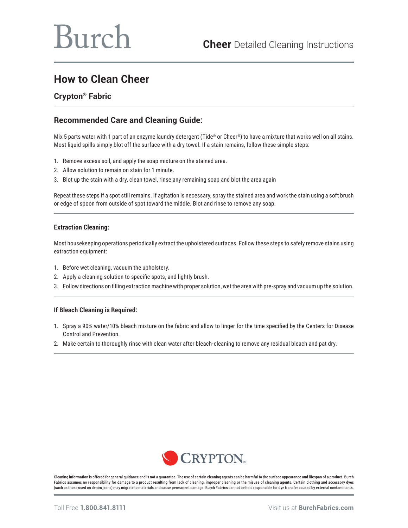# **How to Clean Cheer**

### **Crypton® Fabric**

## **Recommended Care and Cleaning Guide:**

Mix 5 parts water with 1 part of an enzyme laundry detergent (Tide® or Cheer®) to have a mixture that works well on all stains. Most liquid spills simply blot off the surface with a dry towel. If a stain remains, follow these simple steps:

- 1. Remove excess soil, and apply the soap mixture on the stained area.
- 2. Allow solution to remain on stain for 1 minute.
- 3. Blot up the stain with a dry, clean towel, rinse any remaining soap and blot the area again

Repeat these steps if a spot still remains. If agitation is necessary, spray the stained area and work the stain using a soft brush or edge of spoon from outside of spot toward the middle. Blot and rinse to remove any soap.

#### **Extraction Cleaning:**

Most housekeeping operations periodically extract the upholstered surfaces. Follow these steps to safely remove stains using extraction equipment:

- 1. Before wet cleaning, vacuum the upholstery.
- 2. Apply a cleaning solution to specific spots, and lightly brush.
- 3. Follow directions on filling extraction machine with proper solution, wet the area with pre-spray and vacuum up the solution.

#### **If Bleach Cleaning is Required:**

- 1. Spray a 90% water/10% bleach mixture on the fabric and allow to linger for the time specified by the Centers for Disease Control and Prevention.
- 2. Make certain to thoroughly rinse with clean water after bleach-cleaning to remove any residual bleach and pat dry.



Cleaning information is offered for general guidance and is not a guarantee. The use of certain cleaning agents can be harmful to the surface appearance and lifespan of a product. Burch Fabrics assumes no responsibility for damage to a product resulting from lack of cleaning, improper cleaning or the misuse of cleaning agents. Certain clothing and accessory dyes (such as those used on denim jeans) may migrate to materials and cause permanent damage. Burch Fabrics cannot be held responsible for dye transfer caused by external contaminants.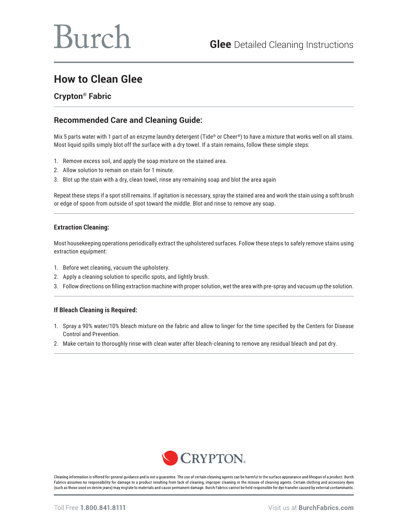# Burch

# **How to Clean Glee**

## **Crypton® Fabric**

# **Recommended Care and Cleaning Guide:**

Mix 5 parts water with 1 part of an enzyme laundry detergent (Tide® or Cheer®) to have a mixture that works well on all stains. Most liquid spills simply blot off the surface with a dry towel. If a stain remains, follow these simple steps:

- 1. Remove excess soil, and apply the soap mixture on the stained area.
- 2. Allow solution to remain on stain for 1 minute.
- 3. Blot up the stain with a dry, clean towel, rinse any remaining soap and blot the area again

Repeat these steps if a spot still remains. If agitation is necessary, spray the stained area and work the stain using a soft brush or edge of spoon from outside of spot toward the middle. Blot and rinse to remove any soap.

#### **Extraction Cleaning:**

Most housekeeping operations periodically extract the upholstered surfaces. Follow these steps to safely remove stains using extraction equipment:

- 1. Before wet cleaning, vacuum the upholstery.
- 2. Apply a cleaning solution to specific spots, and lightly brush.
- 3. Follow directions on filling extraction machine with proper solution, wet the area with pre-spray and vacuum up the solution.

#### **If Bleach Cleaning is Required:**

- 1. Spray a 90% water/10% bleach mixture on the fabric and allow to linger for the time specified by the Centers for Disease Control and Prevention.
- 2. Make certain to thoroughly rinse with clean water after bleach-cleaning to remove any residual bleach and pat dry.



Cleaning information is offered for general guidance and is not a guarantee. The use of certain cleaning agents can be harmful to the surface appearance and lifespan of a product. Burch Fabrics assumes no responsibility for damage to a product resulting from lack of cleaning, improper cleaning or the misuse of cleaning agents. Certain clothing and accessory dyes (such as those used on denim jeans) may migrate to materials and cause permanent damage. Burch Fabrics cannot be held responsible for dye transfer caused by external contaminants.